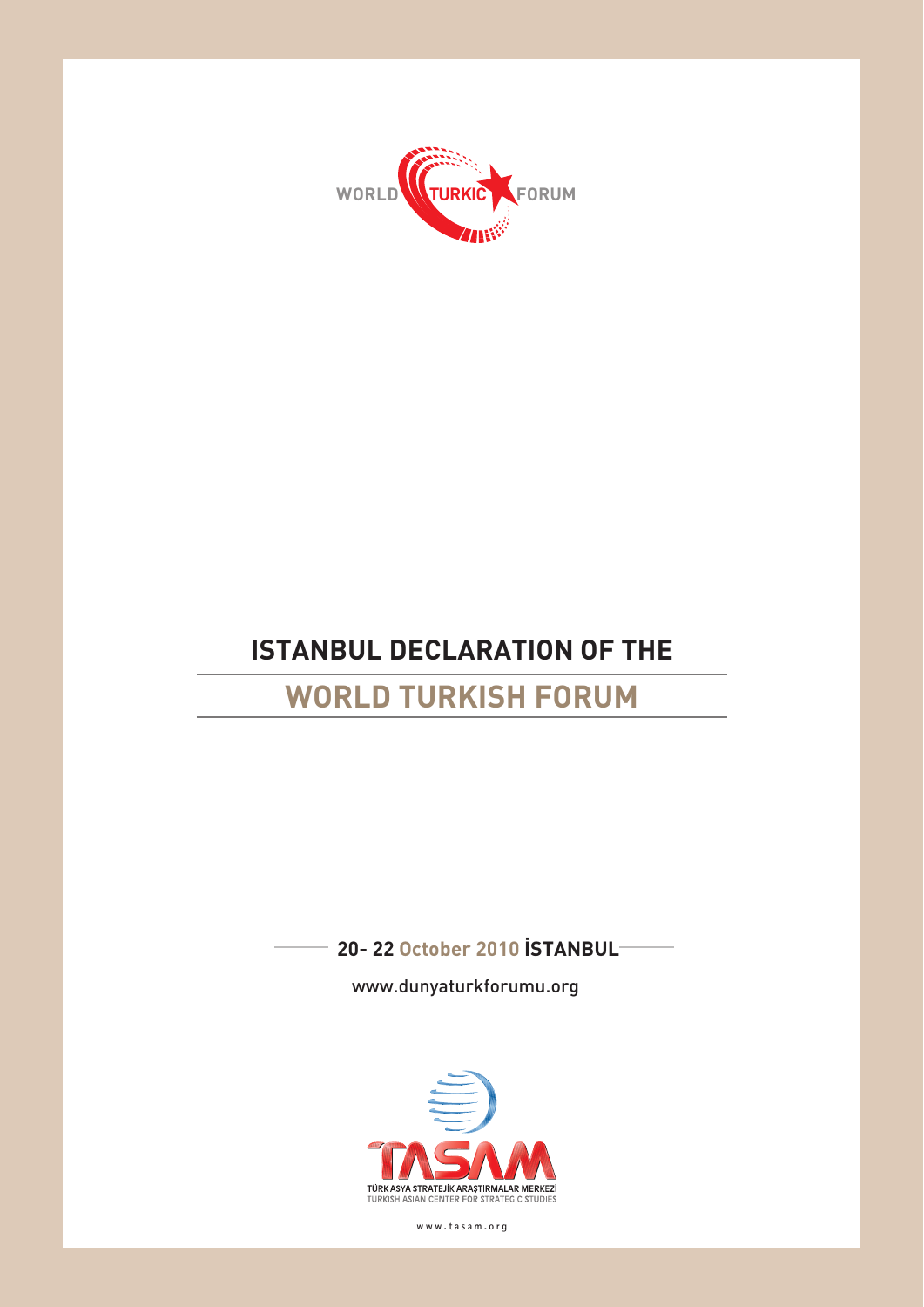

# **ISTANBUL DECLARATION OF THE**

## **WORLD TURKISH FORUM**

**20- 22 October 2010 ISTANBUL** 

www.dunyaturkforumu.org



**www.tasam.org**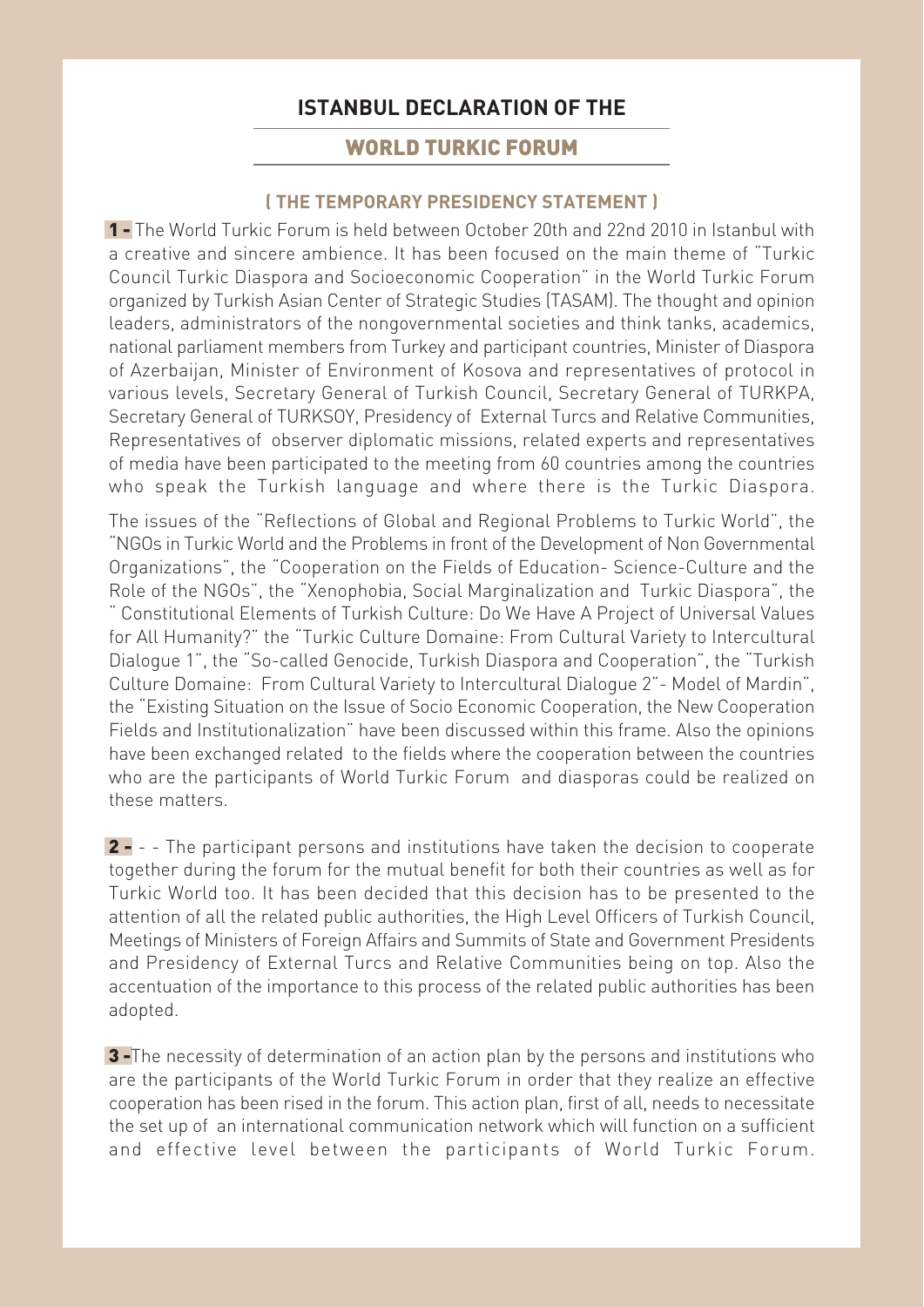## **ISTANBUL DECLARATION OF THE**

### WORLD TURKIC FORUM

#### **( THE TEMPORARY PRESIDENCY STATEMENT )**

1 - The World Turkic Forum is held between October 20th and 22nd 2010 in Istanbul with a creative and sincere ambience. It has been focused on the main theme of "Turkic Council Turkic Diaspora and Socioeconomic Cooperation" in the World Turkic Forum organized by Turkish Asian Center of Strategic Studies (TASAM). The thought and opinion leaders, administrators of the nongovernmental societies and think tanks, academics, national parliament members from Turkey and participant countries, Minister of Diaspora of Azerbaijan, Minister of Environment of Kosova and representatives of protocol in various levels, Secretary General of Turkish Council, Secretary General of TURKPA, Secretary General of TURKSOY, Presidency of External Turcs and Relative Communities, Representatives of observer diplomatic missions, related experts and representatives of media have been participated to the meeting from 60 countries among the countries who speak the Turkish language and where there is the Turkic Diaspora.

The issues of the "Reflections of Global and Regional Problems to Turkic World", the "NGOs in Turkic World and the Problems in front of the Development of Non Governmental Organizations", the "Cooperation on the Fields of Education- Science-Culture and the Role of the NGOs", the "Xenophobia, Social Marginalization and Turkic Diaspora", the " Constitutional Elements of Turkish Culture: Do We Have A Project of Universal Values for All Humanity?" the "Turkic Culture Domaine: From Cultural Variety to Intercultural Dialogue 1", the "So-called Genocide, Turkish Diaspora and Cooperation", the "Turkish Culture Domaine: From Cultural Variety to Intercultural Dialogue 2"- Model of Mardin", the "Existing Situation on the Issue of Socio Economic Cooperation, the New Cooperation Fields and Institutionalization" have been discussed within this frame. Also the opinions have been exchanged related to the fields where the cooperation between the countries who are the participants of World Turkic Forum and diasporas could be realized on these matters.

2 - - - The participant persons and institutions have taken the decision to cooperate together during the forum for the mutual benefit for both their countries as well as for Turkic World too. It has been decided that this decision has to be presented to the attention of all the related public authorities, the High Level Officers of Turkish Council, Meetings of Ministers of Foreign Affairs and Summits of State and Government Presidents and Presidency of External Turcs and Relative Communities being on top. Also the accentuation of the importance to this process of the related public authorities has been adopted.

3-The necessity of determination of an action plan by the persons and institutions who are the participants of the World Turkic Forum in order that they realize an effective cooperation has been rised in the forum. This action plan, first of all, needs to necessitate the set up of an international communication network which will function on a sufficient and effective level between the participants of World Turkic Forum.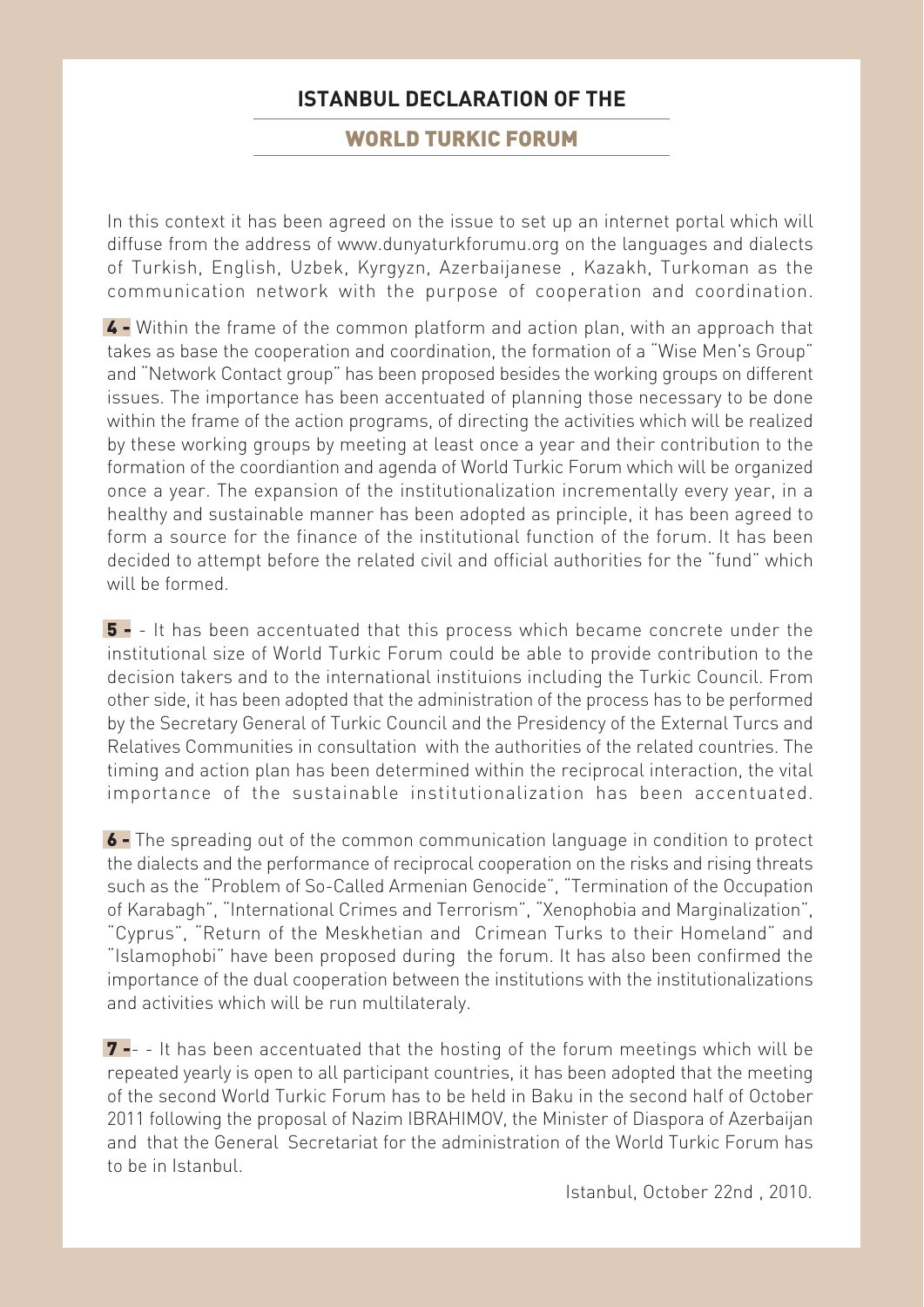### **ISTANBUL DECLARATION OF THE**

#### WORLD TURKIC FORUM

In this context it has been agreed on the issue to set up an internet portal which will diffuse from the address of www.dunyaturkforumu.org on the languages and dialects of Turkish, English, Uzbek, Kyrgyzn, Azerbaijanese , Kazakh, Turkoman as the communication network with the purpose of cooperation and coordination.

4 - Within the frame of the common platform and action plan, with an approach that takes as base the cooperation and coordination, the formation of a "Wise Men's Group" and "Network Contact group" has been proposed besides the working groups on different issues. The importance has been accentuated of planning those necessary to be done within the frame of the action programs, of directing the activities which will be realized by these working groups by meeting at least once a year and their contribution to the formation of the coordiantion and agenda of World Turkic Forum which will be organized once a year. The expansion of the institutionalization incrementally every year, in a healthy and sustainable manner has been adopted as principle, it has been agreed to form a source for the finance of the institutional function of the forum. It has been decided to attempt before the related civil and official authorities for the "fund" which will be formed

5 - - It has been accentuated that this process which became concrete under the institutional size of World Turkic Forum could be able to provide contribution to the decision takers and to the international instituions including the Turkic Council. From other side, it has been adopted that the administration of the process has to be performed by the Secretary General of Turkic Council and the Presidency of the External Turcs and Relatives Communities in consultation with the authorities of the related countries. The timing and action plan has been determined within the reciprocal interaction, the vital importance of the sustainable institutionalization has been accentuated.

6 - The spreading out of the common communication language in condition to protect the dialects and the performance of reciprocal cooperation on the risks and rising threats such as the "Problem of So-Called Armenian Genocide", "Termination of the Occupation of Karabagh", "International Crimes and Terrorism", "Xenophobia and Marginalization", "Cyprus", "Return of the Meskhetian and Crimean Turks to their Homeland" and "Islamophobi" have been proposed during the forum. It has also been confirmed the importance of the dual cooperation between the institutions with the institutionalizations and activities which will be run multilateraly.

7 -- - It has been accentuated that the hosting of the forum meetings which will be repeated yearly is open to all participant countries, it has been adopted that the meeting of the second World Turkic Forum has to be held in Baku in the second half of October 2011 following the proposal of Nazim IBRAHIMOV, the Minister of Diaspora of Azerbaijan and that the General Secretariat for the administration of the World Turkic Forum has to be in Istanbul.